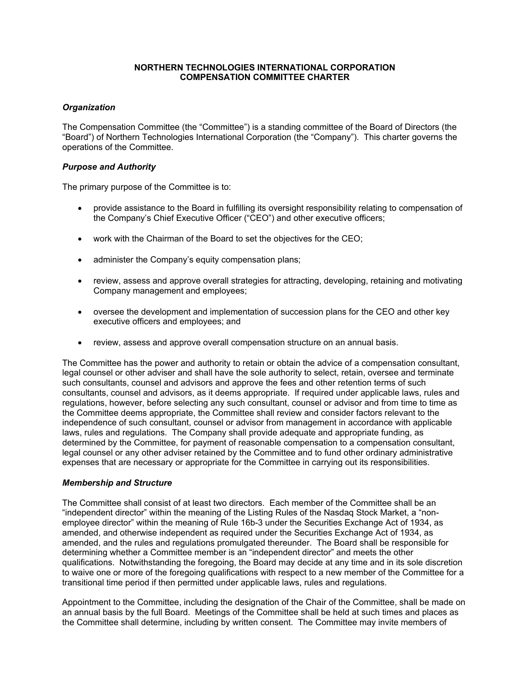### **NORTHERN TECHNOLOGIES INTERNATIONAL CORPORATION COMPENSATION COMMITTEE CHARTER**

# *Organization*

The Compensation Committee (the "Committee") is a standing committee of the Board of Directors (the "Board") of Northern Technologies International Corporation (the "Company"). This charter governs the operations of the Committee.

### *Purpose and Authority*

The primary purpose of the Committee is to:

- provide assistance to the Board in fulfilling its oversight responsibility relating to compensation of the Company's Chief Executive Officer ("CEO") and other executive officers;
- work with the Chairman of the Board to set the objectives for the CEO;
- administer the Company's equity compensation plans;
- review, assess and approve overall strategies for attracting, developing, retaining and motivating Company management and employees;
- oversee the development and implementation of succession plans for the CEO and other key executive officers and employees; and
- review, assess and approve overall compensation structure on an annual basis.

The Committee has the power and authority to retain or obtain the advice of a compensation consultant, legal counsel or other adviser and shall have the sole authority to select, retain, oversee and terminate such consultants, counsel and advisors and approve the fees and other retention terms of such consultants, counsel and advisors, as it deems appropriate. If required under applicable laws, rules and regulations, however, before selecting any such consultant, counsel or advisor and from time to time as the Committee deems appropriate, the Committee shall review and consider factors relevant to the independence of such consultant, counsel or advisor from management in accordance with applicable laws, rules and regulations. The Company shall provide adequate and appropriate funding, as determined by the Committee, for payment of reasonable compensation to a compensation consultant, legal counsel or any other adviser retained by the Committee and to fund other ordinary administrative expenses that are necessary or appropriate for the Committee in carrying out its responsibilities.

### *Membership and Structure*

The Committee shall consist of at least two directors. Each member of the Committee shall be an "independent director" within the meaning of the Listing Rules of the Nasdaq Stock Market, a "nonemployee director" within the meaning of Rule 16b-3 under the Securities Exchange Act of 1934, as amended, and otherwise independent as required under the Securities Exchange Act of 1934, as amended, and the rules and regulations promulgated thereunder. The Board shall be responsible for determining whether a Committee member is an "independent director" and meets the other qualifications. Notwithstanding the foregoing, the Board may decide at any time and in its sole discretion to waive one or more of the foregoing qualifications with respect to a new member of the Committee for a transitional time period if then permitted under applicable laws, rules and regulations.

Appointment to the Committee, including the designation of the Chair of the Committee, shall be made on an annual basis by the full Board. Meetings of the Committee shall be held at such times and places as the Committee shall determine, including by written consent. The Committee may invite members of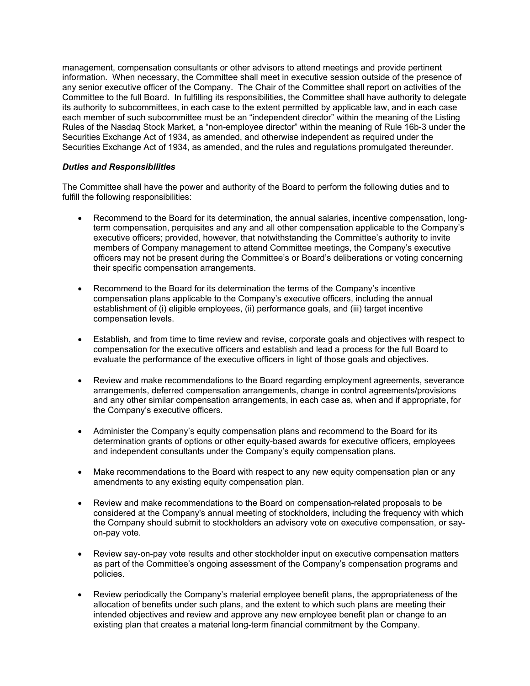management, compensation consultants or other advisors to attend meetings and provide pertinent information. When necessary, the Committee shall meet in executive session outside of the presence of any senior executive officer of the Company. The Chair of the Committee shall report on activities of the Committee to the full Board. In fulfilling its responsibilities, the Committee shall have authority to delegate its authority to subcommittees, in each case to the extent permitted by applicable law, and in each case each member of such subcommittee must be an "independent director" within the meaning of the Listing Rules of the Nasdaq Stock Market, a "non-employee director" within the meaning of Rule 16b-3 under the Securities Exchange Act of 1934, as amended, and otherwise independent as required under the Securities Exchange Act of 1934, as amended, and the rules and regulations promulgated thereunder.

# *Duties and Responsibilities*

The Committee shall have the power and authority of the Board to perform the following duties and to fulfill the following responsibilities:

- Recommend to the Board for its determination, the annual salaries, incentive compensation, longterm compensation, perquisites and any and all other compensation applicable to the Company's executive officers; provided, however, that notwithstanding the Committee's authority to invite members of Company management to attend Committee meetings, the Company's executive officers may not be present during the Committee's or Board's deliberations or voting concerning their specific compensation arrangements.
- Recommend to the Board for its determination the terms of the Company's incentive compensation plans applicable to the Company's executive officers, including the annual establishment of (i) eligible employees, (ii) performance goals, and (iii) target incentive compensation levels.
- Establish, and from time to time review and revise, corporate goals and objectives with respect to compensation for the executive officers and establish and lead a process for the full Board to evaluate the performance of the executive officers in light of those goals and objectives.
- Review and make recommendations to the Board regarding employment agreements, severance arrangements, deferred compensation arrangements, change in control agreements/provisions and any other similar compensation arrangements, in each case as, when and if appropriate, for the Company's executive officers.
- Administer the Company's equity compensation plans and recommend to the Board for its determination grants of options or other equity-based awards for executive officers, employees and independent consultants under the Company's equity compensation plans.
- Make recommendations to the Board with respect to any new equity compensation plan or any amendments to any existing equity compensation plan.
- Review and make recommendations to the Board on compensation-related proposals to be considered at the Company's annual meeting of stockholders, including the frequency with which the Company should submit to stockholders an advisory vote on executive compensation, or sayon-pay vote.
- Review say-on-pay vote results and other stockholder input on executive compensation matters as part of the Committee's ongoing assessment of the Company's compensation programs and policies.
- Review periodically the Company's material employee benefit plans, the appropriateness of the allocation of benefits under such plans, and the extent to which such plans are meeting their intended objectives and review and approve any new employee benefit plan or change to an existing plan that creates a material long-term financial commitment by the Company.